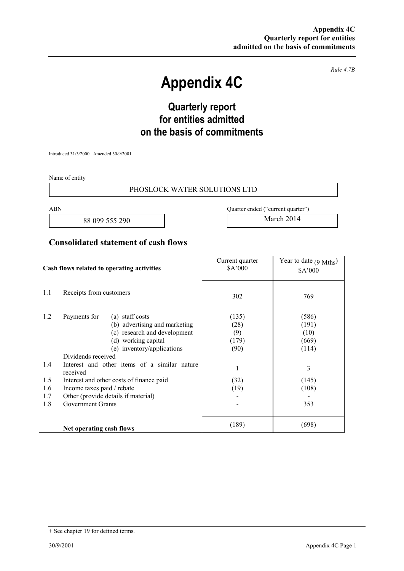*Rule 4.7B* 

# **Appendix 4C**

## **Quarterly report for entities admitted on the basis of commitments**

Introduced 31/3/2000. Amended 30/9/2001

Name of entity

#### PHOSLOCK WATER SOLUTIONS LTD

88 099 555 290 March 2014

ABN Quarter ended ("current quarter")

### **Consolidated statement of cash flows**

| Cash flows related to operating activities |                                                                                                                                                                                                                                                                                                                                                                                      | Current quarter<br>\$A'000                                 | Year to date $(9 \text{ Mths})$<br>\$A'000                             |
|--------------------------------------------|--------------------------------------------------------------------------------------------------------------------------------------------------------------------------------------------------------------------------------------------------------------------------------------------------------------------------------------------------------------------------------------|------------------------------------------------------------|------------------------------------------------------------------------|
| 1.1                                        | Receipts from customers                                                                                                                                                                                                                                                                                                                                                              | 302                                                        | 769                                                                    |
| 1.2<br>1.4<br>1.5<br>1.6<br>1.7<br>1.8     | Payments for<br>(a) staff costs<br>(b) advertising and marketing<br>(c) research and development<br>(d) working capital<br>(e) inventory/applications<br>Dividends received<br>Interest and other items of a similar nature<br>received<br>Interest and other costs of finance paid<br>Income taxes paid / rebate<br>Other (provide details if material)<br><b>Government Grants</b> | (135)<br>(28)<br>(9)<br>(179)<br>(90)<br>1<br>(32)<br>(19) | (586)<br>(191)<br>(10)<br>(669)<br>(114)<br>3<br>(145)<br>(108)<br>353 |
|                                            | Net operating cash flows                                                                                                                                                                                                                                                                                                                                                             | (189)                                                      | (698)                                                                  |

<sup>+</sup> See chapter 19 for defined terms.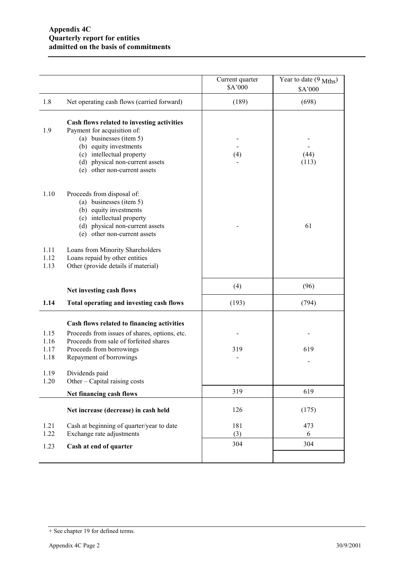|                              |                                                                                                                                                                                                                                | Current quarter<br>\$A'000 | Year to date (9 Mths)<br>\$A'000 |
|------------------------------|--------------------------------------------------------------------------------------------------------------------------------------------------------------------------------------------------------------------------------|----------------------------|----------------------------------|
| 1.8                          | Net operating cash flows (carried forward)                                                                                                                                                                                     | (189)                      | (698)                            |
| 1.9                          | Cash flows related to investing activities<br>Payment for acquisition of:<br>(a) businesses (item 5)<br>(b) equity investments<br>(c) intellectual property<br>(d) physical non-current assets<br>(e) other non-current assets | (4)                        | (44)<br>(113)                    |
| 1.10                         | Proceeds from disposal of:<br>(a) businesses (item 5)<br>(b) equity investments<br>(c) intellectual property<br>(d) physical non-current assets<br>(e) other non-current assets                                                |                            | 61                               |
| 1.11<br>1.12<br>1.13         | Loans from Minority Shareholders<br>Loans repaid by other entities<br>Other (provide details if material)                                                                                                                      |                            |                                  |
|                              | Net investing cash flows                                                                                                                                                                                                       | (4)                        | (96)                             |
| 1.14                         | Total operating and investing cash flows                                                                                                                                                                                       | (193)                      | (794)                            |
| 1.15<br>1.16<br>1.17<br>1.18 | Cash flows related to financing activities<br>Proceeds from issues of shares, options, etc.<br>Proceeds from sale of forfeited shares<br>Proceeds from borrowings<br>Repayment of borrowings                                   | 319                        | 619                              |
| 1.19<br>1.20                 | Dividends paid<br>Other – Capital raising costs                                                                                                                                                                                |                            |                                  |
|                              | Net financing cash flows                                                                                                                                                                                                       | 319                        | 619                              |
|                              | Net increase (decrease) in cash held                                                                                                                                                                                           | 126                        | (175)                            |
| 1.21<br>1.22                 | Cash at beginning of quarter/year to date<br>Exchange rate adjustments                                                                                                                                                         | 181<br>(3)                 | 473<br>6                         |
| 1.23                         | Cash at end of quarter                                                                                                                                                                                                         | 304                        | 304                              |
|                              |                                                                                                                                                                                                                                |                            |                                  |

<sup>+</sup> See chapter 19 for defined terms.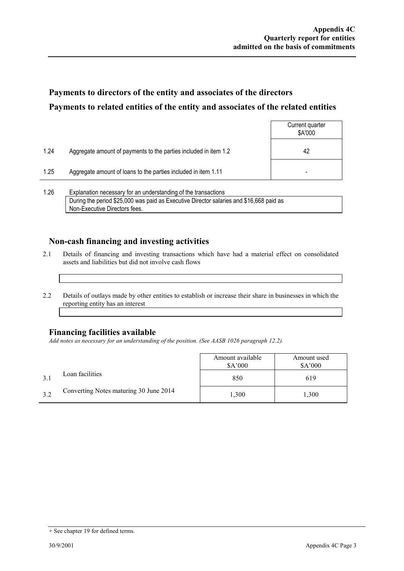### **Payments to directors of the entity and associates of the directors Payments to related entities of the entity and associates of the related entities**

|      |                                                                  | Current quarter<br>\$A'000 |
|------|------------------------------------------------------------------|----------------------------|
| 1.24 | Aggregate amount of payments to the parties included in item 1.2 | 42                         |
| 1.25 | Aggregate amount of loans to the parties included in item 1.11   | -                          |
|      |                                                                  |                            |

1.26 Explanation necessary for an understanding of the transactions During the period \$25,000 was paid as Executive Director salaries and \$16,668 paid as Non-Executive Directors fees.

### **Non-cash financing and investing activities**

- 2.1 Details of financing and investing transactions which have had a material effect on consolidated assets and liabilities but did not involve cash flows
- 2.2 Details of outlays made by other entities to establish or increase their share in businesses in which the reporting entity has an interest

#### **Financing facilities available**

*Add notes as necessary for an understanding of the position. (See AASB 1026 paragraph 12.2).* 

|     |                                        | Amount available<br>\$A'000 | Amount used<br>\$A'000 |
|-----|----------------------------------------|-----------------------------|------------------------|
|     | Loan facilities                        | 850                         | 619                    |
| 3.2 | Converting Notes maturing 30 June 2014 | 1,300                       | 1,300                  |

<sup>+</sup> See chapter 19 for defined terms.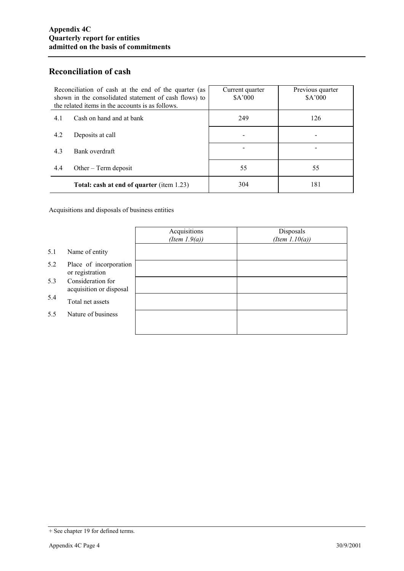### **Reconciliation of cash**

| Reconciliation of cash at the end of the quarter (as<br>shown in the consolidated statement of cash flows) to<br>the related items in the accounts is as follows. | Current quarter<br>\$A'000 | Previous quarter<br>\$A'000 |
|-------------------------------------------------------------------------------------------------------------------------------------------------------------------|----------------------------|-----------------------------|
| Cash on hand and at bank<br>4.1                                                                                                                                   | 249                        | 126                         |
| 4.2<br>Deposits at call                                                                                                                                           |                            |                             |
| 4.3<br>Bank overdraft                                                                                                                                             |                            |                             |
| 4.4<br>Other $-$ Term deposit                                                                                                                                     | 55                         | 55                          |
| Total: cash at end of quarter (item 1.23)                                                                                                                         | 304                        | 181                         |

Acquisitions and disposals of business entities

|     |                                              | Acquisitions<br>(Item $1.9(a)$ ) | Disposals<br>(Item $1.10(a)$ ) |
|-----|----------------------------------------------|----------------------------------|--------------------------------|
| 5.1 | Name of entity                               |                                  |                                |
| 5.2 | Place of incorporation<br>or registration    |                                  |                                |
| 5.3 | Consideration for<br>acquisition or disposal |                                  |                                |
| 5.4 | Total net assets                             |                                  |                                |
| 5.5 | Nature of business                           |                                  |                                |
|     |                                              |                                  |                                |

<sup>+</sup> See chapter 19 for defined terms.